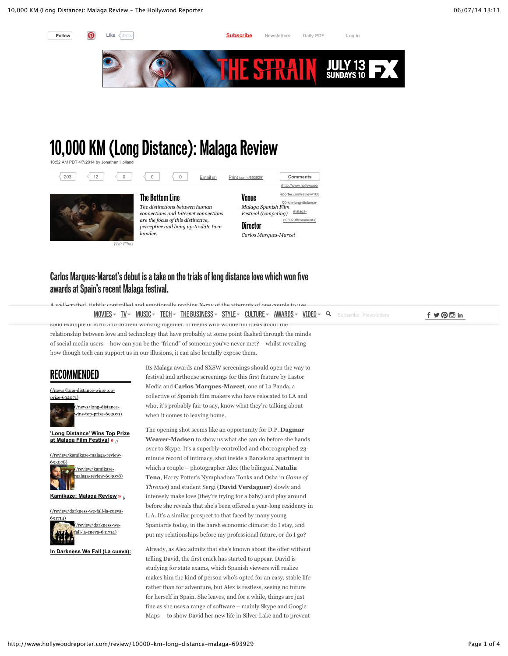

## **10,000 KM (Long Distance): Malaga Review**



*Visit Films*

## **Carlos Marques-Marcet's debut is a take on the trials of long distance love which won five awards at Spain's recent Malaga festival.**

A well-crafted, tightly controlled and emotionally probing X-ray of the attempts of one couple to use  $\texttt{MOVIES} \sim \texttt{IV} \sim \texttt{MUSIC} \sim \texttt{TECH} \sim \texttt{THE BUSINES} \sim \texttt{STYLE} \sim \texttt{CULTURE} \sim \texttt{AVARDS} \sim \texttt{VIDEO} \sim \texttt{Q}$  $\texttt{MOVIES} \sim \texttt{IV} \sim \texttt{MUSIC} \sim \texttt{TECH} \sim \texttt{THE BUSINES} \sim \texttt{STYLE} \sim \texttt{CULTURE} \sim \texttt{AVARDS} \sim \texttt{VIDEO} \sim \texttt{Q}$  $\texttt{MOVIES} \sim \texttt{IV} \sim \texttt{MUSIC} \sim \texttt{TECH} \sim \texttt{THE BUSINES} \sim \texttt{STYLE} \sim \texttt{CULTURE} \sim \texttt{AVARDS} \sim \texttt{VIDEO} \sim \texttt{Q}$  $\texttt{MOVIES} \sim \texttt{IV} \sim \texttt{MUSIC} \sim \texttt{TECH} \sim \texttt{THE BUSINES} \sim \texttt{STYLE} \sim \texttt{CULTURE} \sim \texttt{AVARDS} \sim \texttt{VIDEO} \sim \texttt{Q}$  $\texttt{MOVIES} \sim \texttt{IV} \sim \texttt{MUSIC} \sim \texttt{TECH} \sim \texttt{THE BUSINES} \sim \texttt{STYLE} \sim \texttt{CULTURE} \sim \texttt{AVARDS} \sim \texttt{VIDEO} \sim \texttt{Q}$  $\texttt{MOVIES} \sim \texttt{IV} \sim \texttt{MUSIC} \sim \texttt{TECH} \sim \texttt{THE BUSINES} \sim \texttt{STYLE} \sim \texttt{CULTURE} \sim \texttt{AVARDS} \sim \texttt{VIDEO} \sim \texttt{Q}$  $\texttt{MOVIES} \sim \texttt{IV} \sim \texttt{MUSIC} \sim \texttt{TECH} \sim \texttt{THE BUSINES} \sim \texttt{STYLE} \sim \texttt{CULTURE} \sim \texttt{AVARDS} \sim \texttt{VIDEO} \sim \texttt{Q}$  . Subscribe Newsletters  $\texttt{f} \blacktriangleright \texttt{Q} \boxdot \texttt{in}$ solid example of form and content working together. It teems with wonderful ideas about the

relationship between love and technology that have probably at some point flashed through the minds of social media users – how can you be the "friend" of someone you've never met? – whilst revealing how though tech can support us in our illusions, it can also brutally expose them.

## **RECOMMENDED**

[\(/news/long-distance-wins-top](http://www.hollywoodreporter.com/news/long-distance-wins-top-prize-692071)prize-692071)



**'Long Distance' Wins Top Prize at Malaga Film Festival »** 

e [\(/review/kamikaze-malaga-review-](http://www.hollywoodreporter.com/review/kamikaze-malaga-review-693078)



g - **Kamikaze: Malaga Review** (/

i [\(/review/darkness-we-fall-la-cueva-](http://www.hollywoodreporter.com/review/darkness-we-fall-la-cueva-691714)



e - k a **[In Darkness We Fall \(La cueva\)](http://www.hollywoodreporter.com/news/long-distance-wins-top-prize-692071)[:](http://www.hollywoodreporter.com/review/darkness-we-fall-la-cueva-691714)**

Its Malaga awards and SXSW screenings should open the way to festival and arthouse screenings for this first feature by Lastor Media and **Carlos Marques-Marcet**, one of La Panda, a collective of Spanish film makers who have relocated to LA and who, it's probably fair to say, know what they're talking about when it comes to leaving home.

The opening shot seems like an opportunity for D.P. **Dagmar Weaver-Madsen** to show us what she can do before she hands over to Skype. It's a superbly-controlled and choreographed 23 minute record of intimacy, shot inside a Barcelona apartment in which a couple – photographer Alex (the bilingual **Natalia Tena**, Harry Potter's Nymphadora Tonks and Osha in *Game of Thrones*) and student Sergi (**David Verdaguer**) slowly and intensely make love (they're trying for a baby) and play around before she reveals that she's been offered a year-long residency in L.A. It's a similar prospect to that faced by many young Spaniards today, in the harsh economic climate: do I stay, and put my relationships before my professional future, or do I go?

Already, as Alex admits that she's known about the offer without telling David, the first crack has started to appear. David is studying for state exams, which Spanish viewers will realize makes him the kind of person who's opted for an easy, stable life rather than for adventure, but Alex is restless, seeing no future for herself in Spain. She leaves, and for a while, things are just fine as she uses a range of software – mainly Skype and Google Maps -- to show David her new life in Silver Lake and to prevent